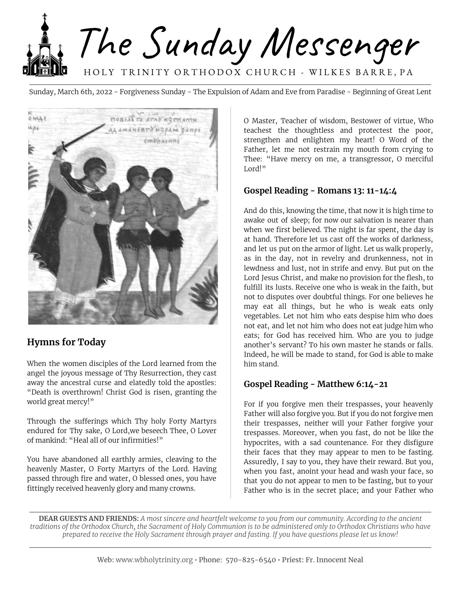

Sunday, March 6th, 2022 - Forgiveness Sunday - The Expulsion of Adam and Eve from Paradise - Beginning of Great Lent



## **Hymns for Today**

When the women disciples of the Lord learned from the angel the joyous message of Thy Resurrection, they cast away the ancestral curse and elatedly told the apostles: "Death is overthrown! Christ God is risen, granting the world great mercy!"

Through the sufferings which Thy holy Forty Martyrs endured for Thy sake, O Lord,we beseech Thee, O Lover of mankind: "Heal all of our infirmities!"

You have abandoned all earthly armies, cleaving to the heavenly Master, O Forty Martyrs of the Lord. Having passed through fire and water, O blessed ones, you have fittingly received heavenly glory and many crowns.

O Master, Teacher of wisdom, Bestower of virtue, Who teachest the thoughtless and protectest the poor, strengthen and enlighten my heart! O Word of the Father, let me not restrain my mouth from crying to Thee: "Have mercy on me, a transgressor, O merciful Lord!"

#### **Gospel Reading - Romans 13: 11-14:4**

And do this, knowing the time, that now it is high time to awake out of sleep; for now our salvation is nearer than when we first believed. The night is far spent, the day is at hand. Therefore let us cast off the works of darkness, and let us put on the armor of light. Let us walk properly, as in the day, not in revelry and drunkenness, not in lewdness and lust, not in strife and envy. But put on the Lord Jesus Christ, and make no provision for the flesh, to fulfill its lusts. Receive one who is weak in the faith, but not to disputes over doubtful things. For one believes he may eat all things, but he who is weak eats only vegetables. Let not him who eats despise him who does not eat, and let not him who does not eat judge him who eats; for God has received him. Who are you to judge another's servant? To his own master he stands or falls. Indeed, he will be made to stand, for God is able to make him stand.

#### **Gospel Reading - Matthew 6:14-21**

For if you forgive men their trespasses, your heavenly Father will also forgive you. But if you do not forgive men their trespasses, neither will your Father forgive your trespasses. Moreover, when you fast, do not be like the hypocrites, with a sad countenance. For they disfigure their faces that they may appear to men to be fasting. Assuredly, I say to you, they have their reward. But you, when you fast, anoint your head and wash your face, so that you do not appear to men to be fasting, but to your Father who is in the secret place; and your Father who

**DEAR GUESTS AND FRIENDS:** A most sincere and heartfelt welcome to you from our community. According to the ancient traditions of the Orthodox Church, the Sacrament of Holy Communion is to be administered only to Orthodox Christians who have prepared to receive the Holy Sacrament through prayer and fasting. If you have questions please let us know!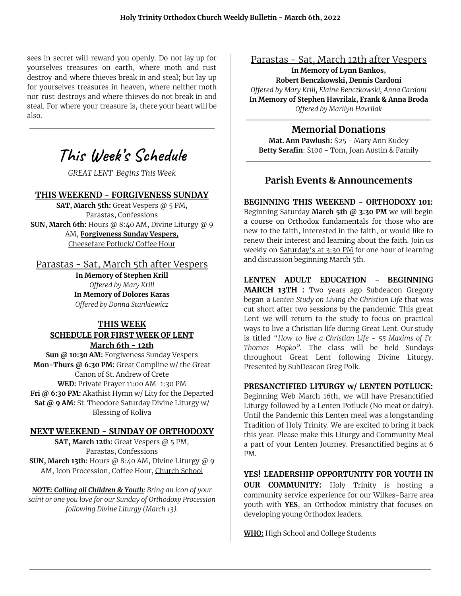sees in secret will reward you openly. Do not lay up for yourselves treasures on earth, where moth and rust destroy and where thieves break in and steal; but lay up for yourselves treasures in heaven, where neither moth nor rust destroys and where thieves do not break in and steal. For where your treasure is, there your heart will be also.

# **This Week' s Schedule**

*GREAT LENT Begins This Week*

#### **THIS WEEKEND - FORGIVENESS SUNDAY**

**SAT, March 5th:** Great Vespers @ 5 PM, Parastas, Confessions **SUN, March 6th:** Hours @ 8:40 AM, Divine Liturgy @ 9 AM, **Forgiveness Sunday Vespers,** Cheesefare Potluck/ Coffee Hour

#### Parastas - Sat, March 5th after Vespers

**In Memory of Stephen Krill** *Offered by Mary Krill* **In Memory of Dolores Karas** *Offered by Donna Stankiewicz*

#### **THIS WEEK SCHEDULE FOR FIRST WEEK OF LENT March 6th - 12th**

**Sun @ 10:30 AM:** Forgiveness Sunday Vespers **Mon-Thurs @ 6:30 PM:** Great Compline w/ the Great Canon of St. Andrew of Crete **WED:** Private Prayer 11:00 AM-1:30 PM **Fri @ 6:30 PM:** Akathist Hymn w/ Lity for the Departed **Sat @ 9 AM:** St. Theodore Saturday Divine Liturgy w/ Blessing of Koliva

#### **NEXT WEEKEND - SUNDAY OF ORTHODOXY**

**SAT, March 12th:** Great Vespers @ 5 PM, Parastas, Confessions **SUN, March 13th:** Hours @ 8:40 AM, Divine Liturgy @ 9 AM, Icon Procession, Coffee Hour, Church School

*NOTE: Calling all Children & Youth: Bring an icon of your saint or one you love for our Sunday of Orthodoxy Procession following Divine Liturgy (March 13).*

## Parastas - Sat, March 12th after Vespers

**In Memory of Lynn Bankos, Robert Benczkowski, Dennis Cardoni** *Offered by Mary Krill, Elaine Benczkowski, Anna Cardoni* **In Memory of Stephen Havrilak, Frank & Anna Broda** *Offered by Marilyn Havrilak*

## **Memorial Donations**

**Mat. Ann Pawlush:** \$25 - Mary Ann Kudey **Betty Serafin**: \$100 - Tom, Joan Austin & Family

### **Parish Events & Announcements**

**BEGINNING THIS WEEKEND - ORTHODOXY 101:** Beginning Saturday **March 5th @ 3:30 PM** we will begin a course on Orthodox fundamentals for those who are new to the faith, interested in the faith, or would like to renew their interest and learning about the faith. Join us weekly on Saturday's at 3:30 PM for one hour of learning and discussion beginning March 5th.

#### **LENTEN ADULT EDUCATION - BEGINNING**

**MARCH 13TH :** Two years ago Subdeacon Gregory began a *Lenten Study on Living the Christian Life* that was cut short after two sessions by the pandemic. This great Lent we will return to the study to focus on practical ways to live a Christian life during Great Lent. Our study is titled "*How to live a Christian Life - 55 Maxims of Fr. Thomas Hopko".* The class will be held Sundays throughout Great Lent following Divine Liturgy. Presented by SubDeacon Greg Polk.

#### **PRESANCTIFIED LITURGY w/ LENTEN POTLUCK:**

Beginning Web March 16th, we will have Presanctified Liturgy followed by a Lenten Potluck (No meat or dairy). Until the Pandemic this Lenten meal was a longstanding Tradition of Holy Trinity. We are excited to bring it back this year. Please make this Liturgy and Community Meal a part of your Lenten Journey. Presanctified begins at 6 PM.

**YES! LEADERSHIP OPPORTUNITY FOR YOUTH IN OUR COMMUNITY:** Holy Trinity is hosting a community service experience for our Wilkes-Barre area youth with **YES**, an Orthodox ministry that focuses on developing young Orthodox leaders.

**WHO:** High School and College Students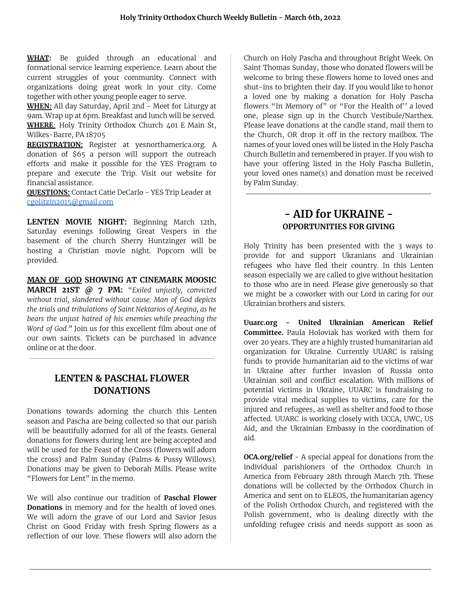**WHAT:** Be guided through an educational and formational service learning experience. Learn about the current struggles of your community. Connect with organizations doing great work in your city. Come together with other young people eager to serve.

**WHEN:** All day Saturday, April 2nd - Meet for Liturgy at 9am. Wrap up at 6pm. Breakfast and lunch will be served. **WHERE**: Holy Trinity Orthodox Church 401 E Main St, Wilkes-Barre, PA 18705

**REGISTRATION:** Register at yesnorthamerica.org. A donation of \$65 a person will support the outreach efforts and make it possible for the YES Program to prepare and execute the Trip. Visit our website for financial assistance.

**QUESTIONS:** Contact Catie DeCarlo - YES Trip Leader at [cgolitzin2015@gmail.com](mailto:cgolitzin2015@gmail.com)

**LENTEN MOVIE NIGHT:** Beginning March 12th, Saturday evenings following Great Vespers in the basement of the church Sherry Huntzinger will be hosting a Christian movie night. Popcorn will be provided.

**MAN OF GOD SHOWING AT CINEMARK MOOSIC MARCH 21ST @ 7 PM:** "*Exiled unjustly, convicted without trial, slandered without cause. Man of God depicts the trials and tribulations of Saint Nektarios of Aegina, as he bears the unjust hatred of his enemies while preaching the Word of God."* Join us for this excellent film about one of our own saints. Tickets can be purchased in advance online or at the door.

### **LENTEN & PASCHAL FLOWER DONATIONS**

Donations towards adorning the church this Lenten season and Pascha are being collected so that our parish will be beautifully adorned for all of the feasts. General donations for flowers during lent are being accepted and will be used for the Feast of the Cross (flowers will adorn the cross) and Palm Sunday (Palms & Pussy Willows). Donations may be given to Deborah Mills. Please write "Flowers for Lent" in the memo.

We will also continue our tradition of **Paschal Flower Donations** in memory and for the health of loved ones. We will adorn the grave of our Lord and Savior Jesus Christ on Good Friday with fresh Spring flowers as a reflection of our love. These flowers will also adorn the Church on Holy Pascha and throughout Bright Week. On Saint Thomas Sunday, those who donated flowers will be welcome to bring these flowers home to loved ones and shut-ins to brighten their day. If you would like to honor a loved one by making a donation for Holy Pascha flowers "In Memory of" or "For the Health of'' a loved one, please sign up in the Church Vestibule/Narthex. Please leave donations at the candle stand, mail them to the Church, OR drop it off in the rectory mailbox. The names of your loved ones will be listed in the Holy Pascha Church Bulletin and remembered in prayer. If you wish to have your offering listed in the Holy Pascha Bulletin, your loved ones name(s) and donation must be received by Palm Sunday.

## **- AID for UKRAINE - OPPORTUNITIES FOR GIVING**

Holy Trinity has been presented with the 3 ways to provide for and support Ukranians and Ukrainian refugees who have fled their country. In this Lenten season especially we are called to give without hesitation to those who are in need. Please give generously so that we might be a coworker with our Lord in caring for our Ukrainian brothers and sisters.

**Uuarc.org - United Ukrainian American Relief Committee.** Paula Holoviak has worked with them for over 20 years. They are a highly trusted humanitarian aid organization for Ukraine. Currently UUARC is raising funds to provide humanitarian aid to the victims of war in Ukraine after further invasion of Russia onto Ukrainian soil and conflict escalation. With millions of potential victims in Ukraine, UUARC is fundraising to provide vital medical supplies to victims, care for the injured and refugees, as well as shelter and food to those affected. UUARC is working closely with UCCA, UWC, US Aid, and the Ukrainian Embassy in the coordination of aid.

**OCA.org/relief** - A special appeal for donations from the individual parishioners of the Orthodox Church in America from February 28th through March 7th. These donations will be collected by the Orthodox Church in America and sent on to ELEOS, the humanitarian agency of the Polish Orthodox Church, and registered with the Polish government, who is dealing directly with the unfolding refugee crisis and needs support as soon as